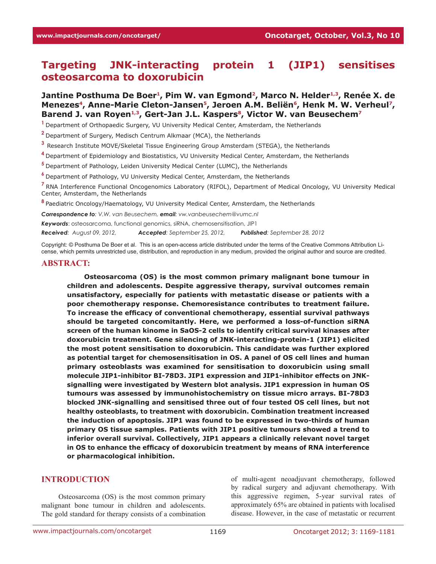# **Targeting JNK-interacting protein 1 (JIP1) sensitises osteosarcoma to doxorubicin**

# Jantine Posthuma De Boer<sup>1</sup>, Pim W. van Egmond<sup>2</sup>, Marco N. Helder<sup>1,3</sup>, Renée X. de Menezes<sup>4</sup>, Anne-Marie Cleton-Jansen<sup>5</sup>, Jeroen A.M. Beliën<sup>6</sup>, Henk M. W. Verheul<sup>7</sup>, Barend J. van Royen<sup>1,3</sup>, Gert-Jan J.L. Kaspers<sup>8</sup>, Victor W. van Beusechem<sup>7</sup>

**<sup>1</sup>**Department of Orthopaedic Surgery, VU University Medical Center, Amsterdam, the Netherlands

**<sup>2</sup>**Department of Surgery, Medisch Centrum Alkmaar (MCA), the Netherlands

**<sup>3</sup>**Research Institute MOVE/Skeletal Tissue Engineering Group Amsterdam (STEGA), the Netherlands

**<sup>4</sup>**Department of Epidemiology and Biostatistics, VU University Medical Center, Amsterdam, the Netherlands

**<sup>5</sup>**Department of Pathology, Leiden University Medical Center (LUMC), the Netherlands

**<sup>6</sup>**Department of Pathology, VU University Medical Center, Amsterdam, the Netherlands

**<sup>7</sup>**RNA Interference Functional Oncogenomics Laboratory (RIFOL), Department of Medical Oncology, VU University Medical Center, Amsterdam, the Netherlands

**<sup>8</sup>**Paediatric Oncology/Haematology, VU University Medical Center, Amsterdam, the Netherlands

*Correspondence to: V.W. van Beusechem, email: vw.vanbeusechem@vumc.nl* 

*Keywords*: osteosarcoma, functional genomics, siRNA, chemosensitisation, JIP1

*Received: August 09, 2012, Accepted: September 25, 2012, Published: September 28, 2012*

Copyright: © Posthuma De Boer et al. This is an open-access article distributed under the terms of the Creative Commons Attribution License, which permits unrestricted use, distribution, and reproduction in any medium, provided the original author and source are credited.

#### **Abstract:**

**Osteosarcoma (OS) is the most common primary malignant bone tumour in children and adolescents. Despite aggressive therapy, survival outcomes remain unsatisfactory, especially for patients with metastatic disease or patients with a poor chemotherapy response. Chemoresistance contributes to treatment failure. To increase the efficacy of conventional chemotherapy, essential survival pathways should be targeted concomitantly. Here, we performed a loss-of-function siRNA screen of the human kinome in SaOS-2 cells to identify critical survival kinases after doxorubicin treatment. Gene silencing of JNK-interacting-protein-1 (JIP1) elicited the most potent sensitisation to doxorubicin. This candidate was further explored as potential target for chemosensitisation in OS. A panel of OS cell lines and human primary osteoblasts was examined for sensitisation to doxorubicin using small molecule JIP1-inhibitor BI-78D3. JIP1 expression and JIP1-inhibitor effects on JNKsignalling were investigated by Western blot analysis. JIP1 expression in human OS tumours was assessed by immunohistochemistry on tissue micro arrays. BI-78D3 blocked JNK-signalling and sensitised three out of four tested OS cell lines, but not healthy osteoblasts, to treatment with doxorubicin. Combination treatment increased the induction of apoptosis. JIP1 was found to be expressed in two-thirds of human primary OS tissue samples. Patients with JIP1 positive tumours showed a trend to inferior overall survival. Collectively, JIP1 appears a clinically relevant novel target in OS to enhance the efficacy of doxorubicin treatment by means of RNA interference or pharmacological inhibition.** 

#### **Introduction**

Osteosarcoma (OS) is the most common primary malignant bone tumour in children and adolescents. The gold standard for therapy consists of a combination of multi-agent neoadjuvant chemotherapy, followed by radical surgery and adjuvant chemotherapy. With this aggressive regimen, 5-year survival rates of approximately 65% are obtained in patients with localised disease. However, in the case of metastatic or recurrent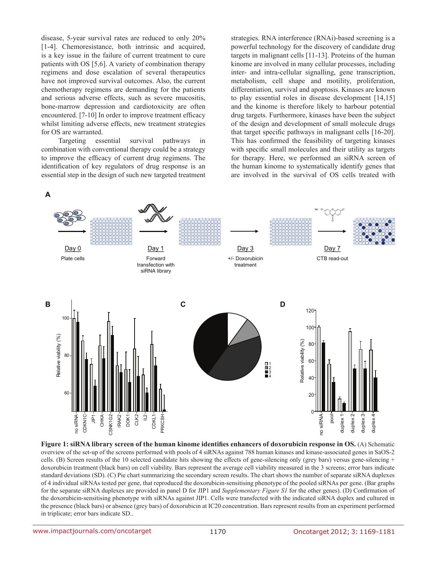disease, 5-year survival rates are reduced to only 20% [1-4]. Chemoresistance, both intrinsic and acquired, is a key issue in the failure of current treatment to cure patients with OS [5,6]. A variety of combination therapy regimens and dose escalation of several therapeutics have not improved survival outcomes. Also, the current chemotherapy regimens are demanding for the patients and serious adverse effects, such as severe mucositis, bone-marrow depression and cardiotoxicity are often encountered. [7-10] In order to improve treatment efficacy whilst limiting adverse effects, new treatment strategies for OS are warranted.

Targeting essential survival pathways in combination with conventional therapy could be a strategy to improve the efficacy of current drug regimens. The identification of key regulators of drug response is an essential step in the design of such new targeted treatment strategies. RNA interference (RNAi)-based screening is a powerful technology for the discovery of candidate drug targets in malignant cells [11-13]. Proteins of the human kinome are involved in many cellular processes, including inter- and intra-cellular signalling, gene transcription, metabolism, cell shape and motility, proliferation, differentiation, survival and apoptosis. Kinases are known to play essential roles in disease development [14,15] and the kinome is therefore likely to harbour potential drug targets. Furthermore, kinases have been the subject of the design and development of small molecule drugs that target specific pathways in malignant cells [16-20]. This has confirmed the feasibility of targeting kinases with specific small molecules and their utility as targets for therapy. Here, we performed an siRNA screen of the human kinome to systematically identify genes that are involved in the survival of OS cells treated with



**Figure 1: siRNA library screen of the human kinome identifies enhancers of doxorubicin response in OS.** (A) Schematic overview of the set-up of the screens performed with pools of 4 siRNAs against 788 human kinases and kinase-associated genes in SaOS-2 cells. (B) Screen results of the 10 selected candidate hits showing the effects of gene-silencing only (grey bars) versus gene-silencing + doxorubicin treatment (black bars) on cell viability. Bars represent the average cell viability measured in the 3 screens; error bars indicate standard deviations (SD). (C) Pie chart summarizing the secondary screen results. The chart shows the number of separate siRNA duplexes of 4 individual siRNAs tested per gene, that reproduced the doxorubicin-sensitising phenotype of the pooled siRNAs per gene. (Bar graphs for the separate siRNA duplexes are provided in panel D for JIP1 and *Supplementary Figure S1* for the other genes). (D) Confirmation of the doxorubicin-sensitising phenotype with siRNAs against JIP1. Cells were transfected with the indicated siRNA duplex and cultured in the presence (black bars) or absence (grey bars) of doxorubicin at IC20 concentration. Bars represent results from an experiment performed in triplicate; error bars indicate SD..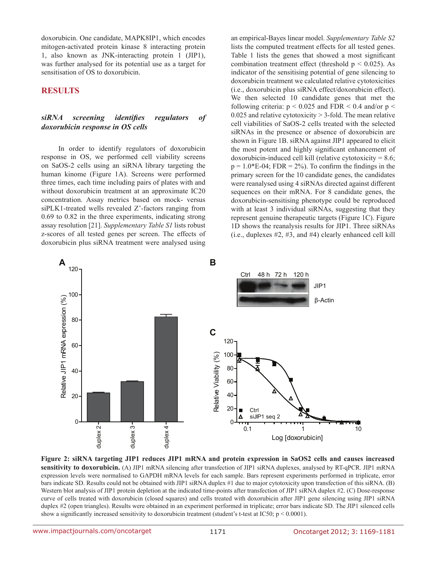doxorubicin. One candidate, MAPK8IP1, which encodes mitogen-activated protein kinase 8 interacting protein 1, also known as JNK-interacting protein 1 (JIP1), was further analysed for its potential use as a target for sensitisation of OS to doxorubicin.

### **Results**

#### *siRNA screening identifies regulators of doxorubicin response in OS cells*

In order to identify regulators of doxorubicin response in OS, we performed cell viability screens on SaOS-2 cells using an siRNA library targeting the human kinome (Figure 1A). Screens were performed three times, each time including pairs of plates with and without doxorubicin treatment at an approximate IC20 expression and the unit of the unit of the concentration. Assay metrics based on mock- versus siPLK1-treated wells revealed Z'-factors ranging from 0.69 to 0.82 in the three experiments, indicating strong  $\overline{B}$  of  $\overline{B}$  and  $\overline{B}$  and  $\overline{B}$  and  $\overline{B}$ assay resolution [21]. *Supplementary Table S1* lists robust z-scores of all tested genes per screen. The effects of doxorubicin plus siRNA treatment were analysed using relative via<br>
relative via<br>
relative via<br>
relative via<br>
relative via<br>
relative via<br>
relative via<br>
relative via<br>
relative via<br>
relative via<br>
relative via<br>
relative via<br>
relative via<br>
relative via<br>
relative via<br>
relative via

an empirical-Bayes linear model. *Supplementary Table S2* lists the computed treatment effects for all tested genes. Table 1 lists the genes that showed a most significant combination treatment effect (threshold  $p < 0.025$ ). As indicator of the sensitising potential of gene silencing to doxorubicin treatment we calculated relative cytotoxicities (i.e., doxorubicin plus siRNA effect/doxorubicin effect). We then selected 10 candidate genes that met the following criteria:  $p < 0.025$  and FDR  $< 0.4$  and/or  $p <$  $0.025$  and relative cytotoxicity  $> 3$ -fold. The mean relative cell viabilities of SaOS-2 cells treated with the selected siRNAs in the presence or absence of doxorubicin are shown in Figure 1B. siRNA against JIP1 appeared to elicit the most potent and highly significant enhancement of doxorubicin-induced cell kill (relative cytotoxicity  $= 8.6$ ;  $p = 1.0*E-04$ ; FDR = 2%). To confirm the findings in the primary screen for the 10 candidate genes, the candidates were reanalysed using 4 siRNAs directed against different sequences on their mRNA. For 8 candidate genes, the doxorubicin-sensitising phenotype could be reproduced with at least 3 individual siRNAs, suggesting that they represent genuine therapeutic targets (Figure 1C). Figure 1D shows the reanalysis results for JIP1. Three siRNAs (i.e., duplexes #2, #3, and #4) clearly enhanced cell kill



**Figure 2: siRNA targeting JIP1 reduces JIP1 mRNA and protein expression in SaOS2 cells and causes increased**  sensitivity to doxorubicin. (A) JIP1 mRNA silencing after transfection of JIP1 siRNA duplexes, analysed by RT-qPCR. JIP1 mRNA expression levels were normalised to GAPDH mRNA levels for each sample. Bars represent experiments performed in triplicate, error bars indicate SD. Results could not be obtained with JIP1 siRNA duplex #1 due to major cytotoxicity upon transfection of this siRNA. (B) Western blot analysis of JIP1 protein depletion at the indicated time-points after transfection of JIP1 siRNA duplex #2. (C) Dose-response curve of cells treated with doxorubicin (closed squares) and cells treated with doxorubicin after JIP1 gene silencing using JIP1 siRNA duplex #2 (open triangles). Results were obtained in an experiment performed in triplicate; error bars indicate SD. The JIP1 silenced cells 60 show a significantly increased sensitivity to doxorubicin treatment (student's t-test at IC50; p < 0.0001). Relation<br>of via<br> $\frac{4}{2}$ <br> $\frac{4}{2}$ <br>**pa**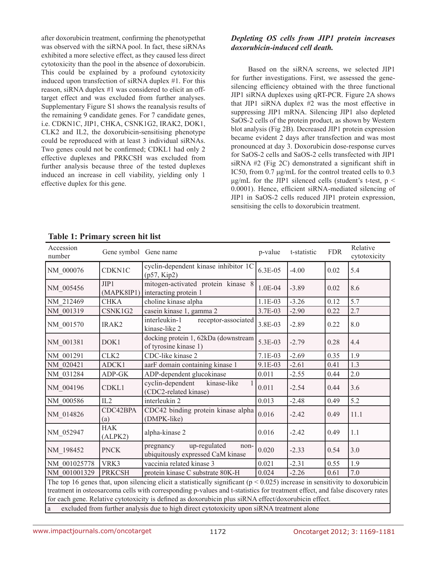after doxorubicin treatment, confirming the phenotypethat was observed with the siRNA pool. In fact, these siRNAs exhibited a more selective effect, as they caused less direct cytotoxicity than the pool in the absence of doxorubicin. This could be explained by a profound cytotoxicity induced upon transfection of siRNA duplex #1. For this reason, siRNA duplex #1 was considered to elicit an offtarget effect and was excluded from further analyses. Supplementary Figure S1 shows the reanalysis results of the remaining 9 candidate genes. For 7 candidate genes, i.e. CDKN1C, JIP1, CHKA, CSNK1G2, IRAK2, DOK1, CLK2 and IL2, the doxorubicin-sensitising phenotype could be reproduced with at least 3 individual siRNAs. Two genes could not be confirmed; CDKL1 had only 2 effective duplexes and PRKCSH was excluded from further analysis because three of the tested duplexes induced an increase in cell viability, yielding only 1 effective duplex for this gene.

# *Depleting OS cells from JIP1 protein increases doxorubicin-induced cell death.*

Based on the siRNA screens, we selected JIP1 for further investigations. First, we assessed the genesilencing efficiency obtained with the three functional JIP1 siRNA duplexes using qRT-PCR. Figure 2A shows that JIP1 siRNA duplex #2 was the most effective in suppressing JIP1 mRNA. Silencing JIP1 also depleted SaOS-2 cells of the protein product, as shown by Western blot analysis (Fig 2B). Decreased JIP1 protein expression became evident 2 days after transfection and was most pronounced at day 3. Doxorubicin dose-response curves for SaOS-2 cells and SaOS-2 cells transfected with JIP1 siRNA #2 (Fig 2C) demonstrated a significant shift in IC50, from 0.7 μg/mL for the control treated cells to 0.3  $\mu$ g/mL for the JIP1 silenced cells (student's t-test, p < 0.0001). Hence, efficient siRNA-mediated silencing of JIP1 in SaOS-2 cells reduced JIP1 protein expression, sensitising the cells to doxorubicin treatment.

| Accession<br>number                                                                                                                                                                                                                  | Gene symbol Gene name |                                                                        | p-value   | t-statistic | <b>FDR</b> | Relative<br>cytotoxicity |
|--------------------------------------------------------------------------------------------------------------------------------------------------------------------------------------------------------------------------------------|-----------------------|------------------------------------------------------------------------|-----------|-------------|------------|--------------------------|
| NM_000076                                                                                                                                                                                                                            | <b>CDKN1C</b>         | cyclin-dependent kinase inhibitor 1C<br>(p57, Kip2)                    | 6.3E-05   | $-4.00$     | 0.02       | 5.4                      |
| NM_005456                                                                                                                                                                                                                            | JIP1<br>(MAPK8IP1)    | mitogen-activated protein kinase 8<br>interacting protein 1            | $1.0E-04$ | $-3.89$     | 0.02       | 8.6                      |
| NM 212469                                                                                                                                                                                                                            | <b>CHKA</b>           | choline kinase alpha                                                   | $1.1E-03$ | $-3.26$     | 0.12       | 5.7                      |
| NM 001319                                                                                                                                                                                                                            | CSNK1G2               | casein kinase 1, gamma 2                                               | 3.7E-03   | $-2.90$     | 0.22       | 2.7                      |
| NM 001570                                                                                                                                                                                                                            | IRAK2                 | interleukin-1<br>receptor-associated<br>kinase-like 2                  | 3.8E-03   | $-2.89$     | 0.22       | 8.0                      |
| NM 001381                                                                                                                                                                                                                            | DOK1                  | docking protein 1, 62kDa (downstream<br>of tyrosine kinase 1)          | 5.3E-03   | $-2.79$     | 0.28       | 4.4                      |
| NM 001291                                                                                                                                                                                                                            | CLK <sub>2</sub>      | CDC-like kinase 2                                                      | $7.1E-03$ | $-2.69$     | 0.35       | 1.9                      |
| NM 020421                                                                                                                                                                                                                            | ADCK1                 | aarF domain containing kinase 1                                        | 9.1E-03   | $-2.61$     | 0.41       | 1.3                      |
| NM 031284                                                                                                                                                                                                                            | ADP-GK                | ADP-dependent glucokinase                                              | 0.011     | $-2.55$     | 0.44       | 2.0                      |
| NM_004196                                                                                                                                                                                                                            | CDKL1                 | cyclin-dependent<br>kinase-like<br>(CDC2-related kinase)               | 0.011     | $-2.54$     | 0.44       | 3.6                      |
| NM 000586                                                                                                                                                                                                                            | IL2                   | interleukin 2                                                          | 0.013     | $-2.48$     | 0.49       | 5.2                      |
| NM_014826                                                                                                                                                                                                                            | CDC42BPA<br>(a)       | CDC42 binding protein kinase alpha<br>(DMPK-like)                      | 0.016     | $-2.42$     | 0.49       | 11.1                     |
| NM 052947                                                                                                                                                                                                                            | <b>HAK</b><br>(ALPK2) | alpha-kinase 2                                                         | 0.016     | $-2.42$     | 0.49       | 1.1                      |
| NM 198452                                                                                                                                                                                                                            | <b>PNCK</b>           | up-regulated<br>pregnancy<br>non-<br>ubiquitously expressed CaM kinase | 0.020     | $-2.33$     | 0.54       | 3.0                      |
| NM 001025778                                                                                                                                                                                                                         | VRK3                  | vaccinia related kinase 3                                              | 0.021     | $-2.31$     | 0.55       | 1.9                      |
| NM 001001329                                                                                                                                                                                                                         | <b>PRKCSH</b>         | protein kinase C substrate 80K-H                                       | 0.024     | $-2.26$     | 0.61       | 7.0                      |
| The top 16 genes that, upon silencing elicit a statistically significant ( $p < 0.025$ ) increase in sensitivity to doxorubicin                                                                                                      |                       |                                                                        |           |             |            |                          |
| treatment in osteosarcoma cells with corresponding p-values and t-statistics for treatment effect, and false discovery rates<br>for each gene. Relative cytotoxicity is defined as doxorubicin plus siRNA effect/doxorubicin effect. |                       |                                                                        |           |             |            |                          |
| excluded from further analysis due to high direct cytotoxicity upon siRNA treatment alone<br>a                                                                                                                                       |                       |                                                                        |           |             |            |                          |

# **Table 1: Primary screen hit list**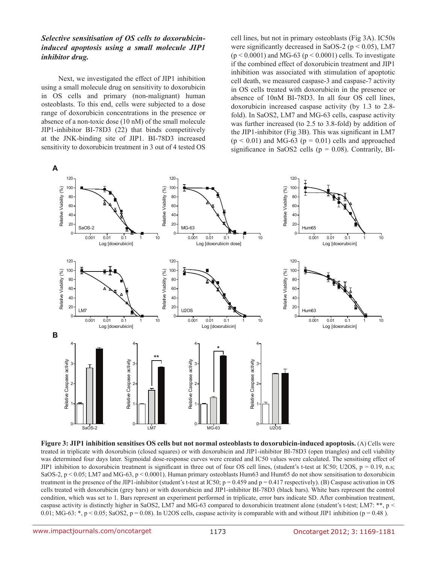### *Selective sensitisation of OS cells to doxorubicininduced apoptosis using a small molecule JIP1 inhibitor drug.*

Next, we investigated the effect of JIP1 inhibition using a small molecule drug on sensitivity to doxorubicin in OS cells and primary (non-malignant) human osteoblasts. To this end, cells were subjected to a dose range of doxorubicin concentrations in the presence or absence of a non-toxic dose (10 nM) of the small molecule JIP1-inhibitor BI-78D3 (22) that binds competitively at the JNK-binding site of JIP1. BI-78D3 increased sensitivity to doxorubicin treatment in 3 out of 4 tested OS cell lines, but not in primary osteoblasts (Fig 3A). IC50s were significantly decreased in SaOS-2 ( $p < 0.05$ ), LM7  $(p < 0.0001)$  and MG-63  $(p < 0.0001)$  cells. To investigate if the combined effect of doxorubicin treatment and JIP1 inhibition was associated with stimulation of apoptotic cell death, we measured caspase-3 and caspase-7 activity in OS cells treated with doxorubicin in the presence or absence of 10nM BI-78D3. In all four OS cell lines, doxorubicin increased caspase activity (by 1.3 to 2.8 fold). In SaOS2, LM7 and MG-63 cells, caspase activity was further increased (to 2.5 to 3.8-fold) by addition of the JIP1-inhibitor (Fig 3B). This was significant in LM7  $(p < 0.01)$  and MG-63  $(p = 0.01)$  cells and approached significance in SaOS2 cells ( $p = 0.08$ ). Contrarily, BI-



**Figure 3: JIP1 inhibition sensitises OS cells but not normal osteoblasts to doxorubicin-induced apoptosis.** (A) Cells were treated in triplicate with doxorubicin (closed squares) or with doxorubicin and JIP1-inhibitor BI-78D3 (open triangles) and cell viability was determined four days later. Sigmoidal dose-response curves were created and IC50 values were calculated. The sensitising effect of JIP1 inhibition to doxorubicin treatment is significant in three out of four OS cell lines, (student's t-test at IC50; U2OS,  $p = 0.19$ , n.s; SaOS-2, p < 0.05; LM7 and MG-63, p < 0.0001). Human primary osteoblasts Hum63 and Hum65 do not show sensitisation to doxorubicin treatment in the presence of the JIP1-inhibitor (student's t-test at IC50;  $p = 0.459$  and  $p = 0.417$  respectively). (B) Caspase activation in OS cells treated with doxorubicin (grey bars) or with doxorubicin and JIP1-inhibitor BI-78D3 (black bars). White bars represent the control condition, which was set to 1. Bars represent an experiment performed in triplicate, error bars indicate SD. After combination treatment, caspase activity is distinctly higher in SaOS2, LM7 and MG-63 compared to doxorubicin treatment alone (student's t-test; LM7: \*\*, p < 0.01; MG-63: \*, p < 0.05; SaOS2, p = 0.08). In U2OS cells, caspase activity is comparable with and without JIP1 inhibition (p = 0.48).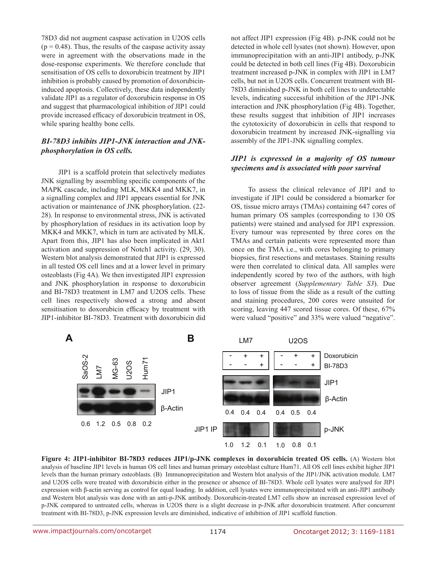78D3 did not augment caspase activation in U2OS cells  $(p = 0.48)$ . Thus, the results of the caspase activity assay were in agreement with the observations made in the dose-response experiments. We therefore conclude that sensitisation of OS cells to doxorubicin treatment by JIP1 inhibition is probably caused by promotion of doxorubicininduced apoptosis. Collectively, these data independently validate JIP1 as a regulator of doxorubicin response in OS and suggest that pharmacological inhibition of JIP1 could provide increased efficacy of doxorubicin treatment in OS, while sparing healthy bone cells.

### *BI-78D3 inhibits JIP1-JNK interaction and JNKphosphorylation in OS cells.*

JIP1 is a scaffold protein that selectively mediates JNK signalling by assembling specific components of the MAPK cascade, including MLK, MKK4 and MKK7, in a signalling complex and JIP1 appears essential for JNK activation or maintenance of JNK phosphorylation. (22- 28). In response to environmental stress, JNK is activated by phosphorylation of residues in its activation loop by MKK4 and MKK7, which in turn are activated by MLK. Apart from this, JIP1 has also been implicated in Akt1 activation and suppression of Notch1 activity. (29, 30). Western blot analysis demonstrated that JIP1 is expressed in all tested OS cell lines and at a lower level in primary osteoblasts (Fig 4A). We then investigated JIP1 expression and JNK phosphorylation in response to doxorubicin and BI-78D3 treatment in LM7 and U2OS cells. These cell lines respectively showed a strong and absent sensitisation to doxorubicin efficacy by treatment with JIP1-inhibitor BI-78D3. Treatment with doxorubicin did

not affect JIP1 expression (Fig 4B). p-JNK could not be detected in whole cell lysates (not shown). However, upon immunoprecipitation with an anti-JIP1 antibody, p-JNK could be detected in both cell lines (Fig 4B). Doxorubicin treatment increased p-JNK in complex with JIP1 in LM7 cells, but not in U2OS cells. Concurrent treatment with BI-78D3 diminished p-JNK in both cell lines to undetectable levels, indicating successful inhibition of the JIP1-JNK interaction and JNK phosphorylation (Fig 4B). Together, these results suggest that inhibition of JIP1 increases the cytotoxicity of doxorubicin in cells that respond to doxorubicin treatment by increased JNK-signalling via assembly of the JIP1-JNK signalling complex.

#### *JIP1 is expressed in a majority of OS tumour specimens and is associated with poor survival*

To assess the clinical relevance of JIP1 and to investigate if JIP1 could be considered a biomarker for OS, tissue micro arrays (TMAs) containing 647 cores of human primary OS samples (corresponding to 130 OS patients) were stained and analysed for JIP1 expression. Every tumour was represented by three cores on the TMAs and certain patients were represented more than once on the TMA i.e., with cores belonging to primary biopsies, first resections and metastases. Staining results were then correlated to clinical data. All samples were independently scored by two of the authors, with high observer agreement (*Supplementary Table S3*). Due to loss of tissue from the slide as a result of the cutting and staining procedures, 200 cores were unsuited for scoring, leaving 447 scored tissue cores. Of these, 67% were valued "positive" and 33% were valued "negative".



**Figure 4: JIP1-inhibitor BI-78D3 reduces JIP1/p-JNK complexes in doxorubicin treated OS cells.** (A) Western blot analysis of baseline JIP1 levels in human OS cell lines and human primary osteoblast culture Hum71. All OS cell lines exhibit higher JIP1 levels than the human primary osteoblasts. (B) Immunoprecipitation and Western blot analysis of the JIP1/JNK activation module. LM7 and U2OS cells were treated with doxorubicin either in the presence or absence of BI-78D3. Whole cell lysates were analysed for JIP1 expression with β-actin serving as control for equal loading. In addition, cell lysates were immunoprecipitated with an anti-JIP1 antibody and Western blot analysis was done with an anti-p-JNK antibody. Doxorubicin-treated LM7 cells show an increased expression level of p-JNK compared to untreated cells, whereas in U2OS there is a slight decrease in p-JNK after doxorubicin treatment. After concurrent treatment with BI-78D3, p-JNK expression levels are diminished, indicative of inhibition of JIP1 scaffold function.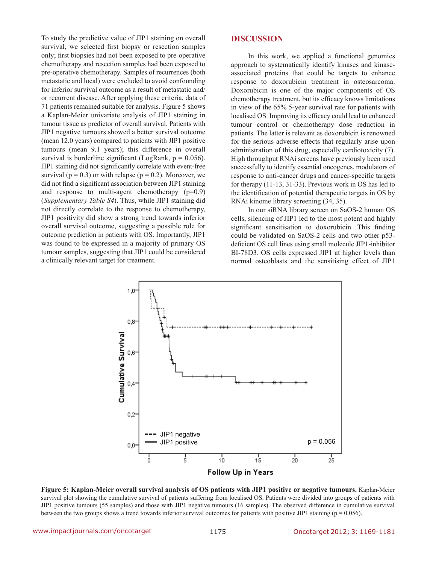To study the predictive value of JIP1 staining on overall survival, we selected first biopsy or resection samples only; first biopsies had not been exposed to pre-operative chemotherapy and resection samples had been exposed to pre-operative chemotherapy. Samples of recurrences (both metastatic and local) were excluded to avoid confounding for inferior survival outcome as a result of metastatic and/ or recurrent disease. After applying these criteria, data of 71 patients remained suitable for analysis. Figure 5 shows a Kaplan-Meier univariate analysis of JIP1 staining in tumour tissue as predictor of overall survival. Patients with JIP1 negative tumours showed a better survival outcome (mean 12.0 years) compared to patients with JIP1 positive tumours (mean 9.1 years); this difference in overall survival is borderline significant (LogRank,  $p = 0.056$ ). JIP1 staining did not significantly correlate with event-free survival ( $p = 0.3$ ) or with relapse ( $p = 0.2$ ). Moreover, we did not find a significant association between JIP1 staining and response to multi-agent chemotherapy (p=0.9) (*Supplementary Table S4*). Thus, while JIP1 staining did not directly correlate to the response to chemotherapy, JIP1 positivity did show a strong trend towards inferior overall survival outcome, suggesting a possible role for outcome prediction in patients with OS. Importantly, JIP1 was found to be expressed in a majority of primary OS tumour samples, suggesting that JIP1 could be considered a clinically relevant target for treatment.

#### **Discussion**

In this work, we applied a functional genomics approach to systematically identify kinases and kinaseassociated proteins that could be targets to enhance response to doxorubicin treatment in osteosarcoma. Doxorubicin is one of the major components of OS chemotherapy treatment, but its efficacy knows limitations in view of the 65% 5-year survival rate for patients with localised OS. Improving its efficacy could lead to enhanced tumour control or chemotherapy dose reduction in patients. The latter is relevant as doxorubicin is renowned for the serious adverse effects that regularly arise upon administration of this drug, especially cardiotoxicity (7). High throughput RNAi screens have previously been used successfully to identify essential oncogenes, modulators of response to anti-cancer drugs and cancer-specific targets for therapy (11-13, 31-33). Previous work in OS has led to the identification of potential therapeutic targets in OS by RNAi kinome library screening (34, 35).

In our siRNA library screen on SaOS-2 human OS cells, silencing of JIP1 led to the most potent and highly significant sensitisation to doxorubicin. This finding could be validated on SaOS-2 cells and two other p53 deficient OS cell lines using small molecule JIP1-inhibitor BI-78D3. OS cells expressed JIP1 at higher levels than normal osteoblasts and the sensitising effect of JIP1



**Figure 5: Kaplan-Meier overall survival analysis of OS patients with JIP1 positive or negative tumours.** Kaplan-Meier survival plot showing the cumulative survival of patients suffering from localised OS. Patients were divided into groups of patients with JIP1 positive tumours (55 samples) and those with JIP1 negative tumours (16 samples). The observed difference in cumulative survival between the two groups shows a trend towards inferior survival outcomes for patients with positive JIP1 staining ( $p = 0.056$ ).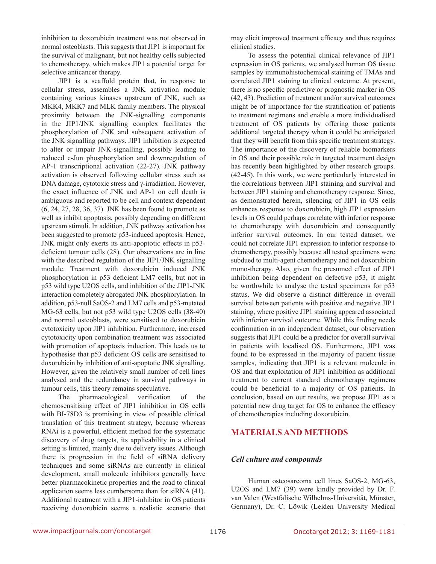inhibition to doxorubicin treatment was not observed in normal osteoblasts. This suggests that JIP1 is important for the survival of malignant, but not healthy cells subjected to chemotherapy, which makes JIP1 a potential target for selective anticancer therapy.

JIP1 is a scaffold protein that, in response to cellular stress, assembles a JNK activation module containing various kinases upstream of JNK, such as MKK4, MKK7 and MLK family members. The physical proximity between the JNK-signalling components in the JIP1/JNK signalling complex facilitates the phosphorylation of JNK and subsequent activation of the JNK signalling pathways. JIP1 inhibition is expected to alter or impair JNK-signalling, possibly leading to reduced c-Jun phosphorylation and downregulation of AP-1 transcriptional activation (22-27). JNK pathway activation is observed following cellular stress such as DNA damage, cytotoxic stress and γ-irradiation. However, the exact influence of JNK and AP-1 on cell death is ambiguous and reported to be cell and context dependent (6, 24, 27, 28, 36, 37). JNK has been found to promote as well as inhibit apoptosis, possibly depending on different upstream stimuli. In addition, JNK pathway activation has been suggested to promote p53-induced apoptosis. Hence, JNK might only exerts its anti-apoptotic effects in p53 deficient tumour cells (28). Our observations are in line with the described regulation of the JIP1/JNK signalling module. Treatment with doxorubicin induced JNK phosphorylation in p53 deficient LM7 cells, but not in p53 wild type U2OS cells, and inhibition of the JIP1-JNK interaction completely abrogated JNK phosphorylation. In addition, p53-null SaOS-2 and LM7 cells and p53-mutated MG-63 cells, but not p53 wild type U2OS cells (38-40) and normal osteoblasts, were sensitised to doxorubicin cytotoxicity upon JIP1 inhibition. Furthermore, increased cytotoxicity upon combination treatment was associated with promotion of apoptosis induction. This leads us to hypothesise that p53 deficient OS cells are sensitised to doxorubicin by inhibition of anti-apoptotic JNK signalling. However, given the relatively small number of cell lines analysed and the redundancy in survival pathways in tumour cells, this theory remains speculative.

The pharmacological verification of the chemosensitising effect of JIP1 inhibition in OS cells with BI-78D3 is promising in view of possible clinical translation of this treatment strategy, because whereas RNAi is a powerful, efficient method for the systematic discovery of drug targets, its applicability in a clinical setting is limited, mainly due to delivery issues. Although there is progression in the field of siRNA delivery techniques and some siRNAs are currently in clinical development, small molecule inhibitors generally have better pharmacokinetic properties and the road to clinical application seems less cumbersome than for siRNA (41). Additional treatment with a JIP1-inhibitor in OS patients receiving doxorubicin seems a realistic scenario that may elicit improved treatment efficacy and thus requires clinical studies.

To assess the potential clinical relevance of JIP1 expression in OS patients, we analysed human OS tissue samples by immunohistochemical staining of TMAs and correlated JIP1 staining to clinical outcome. At present, there is no specific predictive or prognostic marker in OS (42, 43). Prediction of treatment and/or survival outcomes might be of importance for the stratification of patients to treatment regimens and enable a more individualised treatment of OS patients by offering those patients additional targeted therapy when it could be anticipated that they will benefit from this specific treatment strategy. The importance of the discovery of reliable biomarkers in OS and their possible role in targeted treatment design has recently been highlighted by other research groups. (42-45). In this work, we were particularly interested in the correlations between JIP1 staining and survival and between JIP1 staining and chemotherapy response. Since, as demonstrated herein, silencing of JIP1 in OS cells enhances response to doxorubicin, high JIP1 expression levels in OS could perhaps correlate with inferior response to chemotherapy with doxorubicin and consequently inferior survival outcomes. In our tested dataset, we could not correlate JIP1 expression to inferior response to chemotherapy, possibly because all tested specimens were subdued to multi-agent chemotherapy and not doxorubicin mono-therapy. Also, given the presumed effect of JIP1 inhibition being dependent on defective p53, it might be worthwhile to analyse the tested specimens for p53 status. We did observe a distinct difference in overall survival between patients with positive and negative JIP1 staining, where positive JIP1 staining appeared associated with inferior survival outcome. While this finding needs confirmation in an independent dataset, our observation suggests that JIP1 could be a predictor for overall survival in patients with localised OS. Furthermore, JIP1 was found to be expressed in the majority of patient tissue samples, indicating that JIP1 is a relevant molecule in OS and that exploitation of JIP1 inhibition as additional treatment to current standard chemotherapy regimens could be beneficial to a majority of OS patients. In conclusion, based on our results, we propose JIP1 as a potential new drug target for OS to enhance the efficacy of chemotherapies including doxorubicin.

# **Materials and methods**

#### *Cell culture and compounds*

Human osteosarcoma cell lines SaOS-2, MG-63, U2OS and LM7 (39) were kindly provided by Dr. F. van Valen (Westfalische Wilhelms-Universität, Münster, Germany), Dr. C. Löwik (Leiden University Medical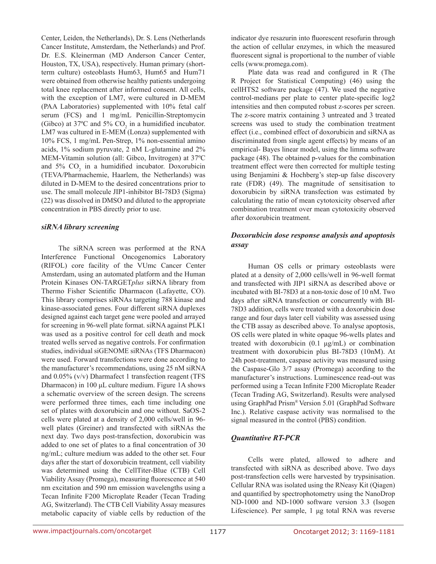Center, Leiden, the Netherlands), Dr. S. Lens (Netherlands Cancer Institute, Amsterdam, the Netherlands) and Prof. Dr. E.S. Kleinerman (MD Anderson Cancer Center, Houston, TX, USA), respectively. Human primary (shortterm culture) osteoblasts Hum63, Hum65 and Hum71 were obtained from otherwise healthy patients undergoing total knee replacement after informed consent. All cells, with the exception of LM7, were cultured in D-MEM (PAA Laboratories) supplemented with 10% fetal calf serum (FCS) and 1 mg/mL Penicillin-Streptomycin (Gibco) at 37°C and 5%  $CO<sub>2</sub>$  in a humidified incubator. LM7 was cultured in E-MEM (Lonza) supplemented with 10% FCS, 1 mg/mL Pen-Strep, 1% non-essential amino acids, 1% sodium pyruvate, 2 nM L-glutamine and 2% MEM-Vitamin solution (all: Gibco, Invitrogen) at 37ºC and  $5\%$  CO<sub>2</sub> in a humidified incubator. Doxorubicin (TEVA/Pharmachemie, Haarlem, the Netherlands) was diluted in D-MEM to the desired concentrations prior to use. The small molecule JIP1-inhibitor BI-78D3 (Sigma) (22) was dissolved in DMSO and diluted to the appropriate concentration in PBS directly prior to use.

#### *siRNA library screening*

The siRNA screen was performed at the RNA Interference Functional Oncogenomics Laboratory (RIFOL) core facility of the VUmc Cancer Center Amsterdam, using an automated platform and the Human Protein Kinases ON-TARGET*plus* siRNA library from Thermo Fisher Scientific Dharmacon (Lafayette, CO). This library comprises siRNAs targeting 788 kinase and kinase-associated genes. Four different siRNA duplexes designed against each target gene were pooled and arrayed for screening in 96-well plate format. siRNA against PLK1 was used as a positive control for cell death and mock treated wells served as negative controls. For confirmation studies, individual siGENOME siRNAs (TFS Dharmacon) were used. Forward transfections were done according to the manufacturer's recommendations, using 25 nM siRNA and 0.05% (v/v) Dharmafect 1 transfection reagent (TFS Dharmacon) in 100 μL culture medium. Figure 1A shows a schematic overview of the screen design. The screens were performed three times, each time including one set of plates with doxorubicin and one without. SaOS-2 cells were plated at a density of 2,000 cells/well in 96 well plates (Greiner) and transfected with siRNAs the next day. Two days post-transfection, doxorubicin was added to one set of plates to a final concentration of 30 ng/mL; culture medium was added to the other set. Four days after the start of doxorubicin treatment, cell viability was determined using the CellTiter-Blue (CTB) Cell Viability Assay (Promega), measuring fluorescence at 540 nm excitation and 590 nm emission wavelengths using a Tecan Infinite F200 Microplate Reader (Tecan Trading AG, Switzerland). The CTB Cell Viability Assay measures metabolic capacity of viable cells by reduction of the indicator dye resazurin into fluorescent resofurin through the action of cellular enzymes, in which the measured fluorescent signal is proportional to the number of viable cells (www.promega.com).

Plate data was read and configured in R (The R Project for Statistical Computing) (46) using the cellHTS2 software package (47). We used the negative control-medians per plate to center plate-specific log2 intensities and then computed robust z-scores per screen. The z-score matrix containing 3 untreated and 3 treated screens was used to study the combination treatment effect (i.e., combined effect of doxorubicin and siRNA as discriminated from single agent effects) by means of an empirical- Bayes linear model, using the limma software package (48). The obtained p-values for the combination treatment effect were then corrected for multiple testing using Benjamini & Hochberg's step-up false discovery rate (FDR) (49). The magnitude of sensitisation to doxorubicin by siRNA transfection was estimated by calculating the ratio of mean cytotoxicity observed after combination treatment over mean cytotoxicity observed after doxorubicin treatment.

# *Doxorubicin dose response analysis and apoptosis assay*

Human OS cells or primary osteoblasts were plated at a density of 2,000 cells/well in 96-well format and transfected with JIP1 siRNA as described above or incubated with BI-78D3 at a non-toxic dose of 10 nM. Two days after siRNA transfection or concurrently with BI-78D3 addition, cells were treated with a doxorubicin dose range and four days later cell viability was assessed using the CTB assay as described above. To analyse apoptosis, OS cells were plated in white opaque 96-wells plates and treated with doxorubicin (0.1 μg/mL) or combination treatment with doxorubicin plus BI-78D3 (10nM). At 24h post-treatment, caspase activity was measured using the Caspase-Glo 3/7 assay (Promega) according to the manufacturer's instructions. Luminescence read-out was performed using a Tecan Infinite F200 Microplate Reader (Tecan Trading AG, Switzerland). Results were analysed using GraphPad Prism® Version 5.01 (GraphPad Software Inc.). Relative caspase activity was normalised to the signal measured in the control (PBS) condition.

# *Quantitative RT-PCR*

Cells were plated, allowed to adhere and transfected with siRNA as described above. Two days post-transfection cells were harvested by trypsinisation. Cellular RNA was isolated using the RNeasy Kit (Qiagen) and quantified by spectrophotometry using the NanoDrop ND-1000 and ND-1000 software version 3.3 (Isogen Lifescience). Per sample, 1 μg total RNA was reverse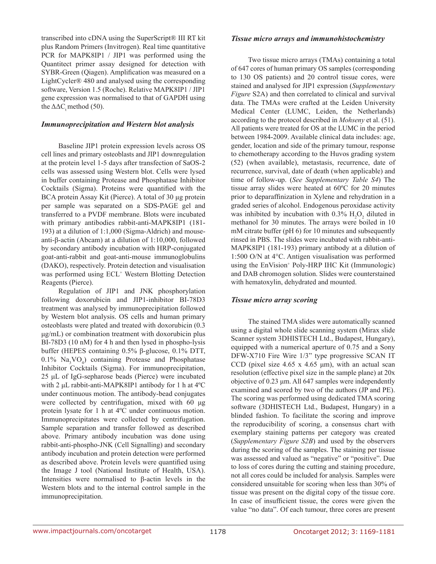transcribed into cDNA using the SuperScript® III RT kit plus Random Primers (Invitrogen). Real time quantitative PCR for MAPK8IP1 / JIP1 was performed using the Quantitect primer assay designed for detection with SYBR-Green (Qiagen). Amplification was measured on a LightCycler® 480 and analysed using the corresponding software, Version 1.5 (Roche). Relative MAPK8IP1 / JIP1 gene expression was normalised to that of GAPDH using the  $\Delta \Delta C$  method (50).

#### *Immunoprecipitation and Western blot analysis*

Baseline JIP1 protein expression levels across OS cell lines and primary osteoblasts and JIP1 downregulation at the protein level 1-5 days after transfection of SaOS-2 cells was assessed using Western blot. Cells were lysed in buffer containing Protease and Phosphatase Inhibitor Cocktails (Sigma). Proteins were quantified with the BCA protein Assay Kit (Pierce). A total of 30 μg protein per sample was separated on a SDS-PAGE gel and transferred to a PVDF membrane. Blots were incubated with primary antibodies rabbit-anti-MAPK8IP1 (181- 193) at a dilution of 1:1,000 (Sigma-Aldrich) and mouseanti-β-actin (Abcam) at a dilution of 1:10,000, followed by secondary antibody incubation with HRP-conjugated goat-anti-rabbit and goat-anti-mouse immunoglobulins (DAKO), respectively. Protein detection and visualisation was performed using ECL<sup>+</sup> Western Blotting Detection Reagents (Pierce).

Regulation of JIP1 and JNK phosphorylation following doxorubicin and JIP1-inhibitor BI-78D3 treatment was analysed by immunoprecipitation followed by Western blot analysis. OS cells and human primary osteoblasts were plated and treated with doxorubicin (0.3 μg/mL) or combination treatment with doxorubicin plus BI-78D3 (10 nM) for 4 h and then lysed in phospho-lysis buffer (HEPES containing 0.5% β-glucose, 0.1% DTT,  $0.1\%$  Na<sub>3</sub>VO<sub>4</sub>) containing Protease and Phosphatase Inhibitor Cocktails (Sigma). For immunoprecipitation, 25 μL of IgG-sepharose beads (Pierce) were incubated with 2 μL rabbit-anti-MAPK8IP1 antibody for 1 h at 4ºC under continuous motion. The antibody-bead conjugates were collected by centrifugation, mixed with 60 μg protein lysate for 1 h at 4ºC under continuous motion. Immunoprecipitates were collected by centrifugation. Sample separation and transfer followed as described above. Primary antibody incubation was done using rabbit-anti-phospho-JNK (Cell Signalling) and secondary antibody incubation and protein detection were performed as described above. Protein levels were quantified using the Image J tool (National Institute of Health, USA). Intensities were normalised to β-actin levels in the Western blots and to the internal control sample in the immunoprecipitation.

#### *Tissue micro arrays and immunohistochemistry*

Two tissue micro arrays (TMAs) containing a total of 647 cores of human primary OS samples (corresponding to 130 OS patients) and 20 control tissue cores, were stained and analysed for JIP1 expression (*Supplementary Figure* S2A) and then correlated to clinical and survival data. The TMAs were crafted at the Leiden University Medical Center (LUMC, Leiden, the Netherlands) according to the protocol described in *Mohseny* et al. (51). All patients were treated for OS at the LUMC in the period between 1984-2009. Available clinical data includes: age, gender, location and side of the primary tumour, response to chemotherapy according to the Huvos grading system (52) (when available), metastasis, recurrence, date of recurrence, survival, date of death (when applicable) and time of follow-up. (*See Supplementary Table S4*) The tissue array slides were heated at 60ºC for 20 minutes prior to deparaffinization in Xylene and rehydration in a graded series of alcohol. Endogenous peroxidase activity was inhibited by incubation with  $0.3\%$  H<sub>2</sub>O<sub>2</sub> diluted in methanol for 30 minutes. The arrays were boiled in 10 mM citrate buffer (pH 6) for 10 minutes and subsequently rinsed in PBS. The slides were incubated with rabbit-anti-MAPK8IP1 (181-193) primary antibody at a dilution of 1:500 O/N at 4°C. Antigen visualisation was performed using the EnVision<sup>+</sup> Poly-HRP IHC Kit (Immunologic) and DAB chromogen solution. Slides were counterstained with hematoxylin, dehydrated and mounted.

#### *Tissue micro array scoring*

The stained TMA slides were automatically scanned using a digital whole slide scanning system (Mirax slide Scanner system 3DHISTECH Ltd., Budapest, Hungary), equipped with a numerical aperture of 0.75 and a Sony DFW-X710 Fire Wire 1/3" type progressive SCAN IT CCD (pixel size  $4.65 \times 4.65 \mu m$ ), with an actual scan resolution (effective pixel size in the sample plane) at 20x objective of 0.23 μm. All 647 samples were independently examined and scored by two of the authors (JP and PE). The scoring was performed using dedicated TMA scoring software (3DHISTECH Ltd., Budapest, Hungary) in a blinded fashion. To facilitate the scoring and improve the reproducibility of scoring, a consensus chart with exemplary staining patterns per category was created (*Supplementary Figure S2B*) and used by the observers during the scoring of the samples. The staining per tissue was assessed and valued as "negative" or "positive". Due to loss of cores during the cutting and staining procedure, not all cores could be included for analysis. Samples were considered unsuitable for scoring when less than 30% of tissue was present on the digital copy of the tissue core. In case of insufficient tissue, the cores were given the value "no data". Of each tumour, three cores are present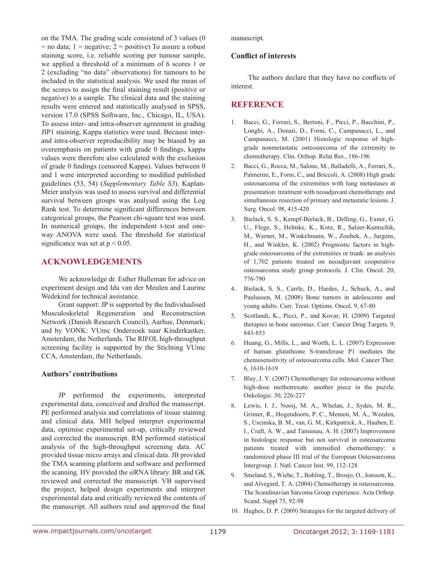on the TMA. The grading scale consistend of 3 values (0  $=$  no data; 1 = negative; 2 = positive) To assure a robust staining score, i.e. reliable scoring per tumour sample, we applied a threshold of a minimum of 6 scores 1 or 2 (excluding "no data" observations) for tumours to be included in the statistical analysis. We used the mean of the scores to assign the final staining result (positive or negative) to a sample. The clinical data and the staining results were entered and statistically analysed in SPSS, version 17.0 (SPSS Software, Inc., Chicago, IL, USA). To assess inter- and intra-observer agreement in grading JIP1 staining, Kappa statistics were used. Because interand intra-observer reproducibility may be biased by an overemphasis on patients with grade 0 findings, kappa values were therefore also calculated with the exclusion of grade 0 findings (censored Kappa). Values between 0 and 1 were interpreted according to modified published guidelines (53, 54) (*Supplementary Table S3*). Kaplan-Meier analysis was used to assess survival and differential survival between groups was analysed using the Log Rank test. To determine significant differences between categorical groups, the Pearson chi-square test was used. In numerical groups, the independent t-test and oneway ANOVA were used. The threshold for statistical significance was set at  $p < 0.05$ .

### **Acknowledgements**

We acknowledge dr. Esther Hulleman for advice on experiment design and Ida van der Meulen and Laurine Wedekind for technical assistance.

Grant support: JP is supported by the Individualised Musculoskeletal Regeneration and Reconstruction Network (Danish Research Council), Aarhus, Denmark; and by VONK: VUmc Onderzoek naar Kinderkanker, Amsterdam, the Netherlands. The RIFOL high-throughput screening facility is supported by the Stichting VUmc CCA, Amsterdam, the Netherlands.

#### **Authors' contributions**

JP performed the experiments, interpreted experimental data, conceived and drafted the manuscript. PE performed analysis and correlations of tissue staining and clinical data. MH helped interpret experimental data, optimise experimental set-up, critically reviewed and corrected the manuscript. RM performed statistical analysis of the high-throughput screening data. AC provided tissue micro arrays and clinical data. JB provided the TMA scanning platform and software and performed the scanning. HV provided the siRNA library. BR and GK reviewed and corrected the manuscript. VB supervised the project, helped design experiments and interpret experimental data and critically reviewed the contents of the manuscript. All authors read and approved the final

manuscript.

#### **Conflict of interests**

The authors declare that they have no conflicts of interest.

# **Reference**

- 1. Bacci, G., Ferrari, S., Bertoni, F., Picci, P., Bacchini, P., Longhi, A., Donati, D., Forni, C., Campanacci, L., and Campanacci, M. (2001) Histologic response of highgrade nonmetastatic osteosarcoma of the extremity to chemotherapy. Clin. Orthop. Relat Res., 186-196
- 2. Bacci, G., Rocca, M., Salone, M., Balladelli, A., Ferrari, S., Palmerini, E., Forni, C., and Briccoli, A. (2008) High grade osteosarcoma of the extremities with lung metastases at presentation: treatment with neoadjuvant chemotherapy and simultaneous resection of primary and metastatic lesions. J. Surg. Oncol. 98, 415-420
- 3. Bielack, S. S., Kempf-Bielack, B., Delling, G., Exner, G. U., Flege, S., Helmke, K., Kotz, R., Salzer-Kuntschik, M., Werner, M., Winkelmann, W., Zoubek, A., Jurgens, H., and Winkler, K. (2002) Prognostic factors in highgrade osteosarcoma of the extremities or trunk: an analysis of 1,702 patients treated on neoadjuvant cooperative osteosarcoma study group protocols. J. Clin. Oncol. 20, 776-790
- 4. Bielack, S. S., Carrle, D., Hardes, J., Schuck, A., and Paulussen, M. (2008) Bone tumors in adolescents and young adults. Curr. Treat. Options. Oncol. 9, 67-80
- 5. Scotlandi, K., Picci, P., and Kovar, H. (2009) Targeted therapies in bone sarcomas. Curr. Cancer Drug Targets. 9, 843-853
- 6. Huang, G., Mills, L., and Worth, L. L. (2007) Expression of human glutathione S-transferase P1 mediates the chemosensitivity of osteosarcoma cells. Mol. Cancer Ther. 6, 1610-1619
- 7. Blay, J. Y. (2007) Chemotherapy for osteosarcoma without high-dose methotrexate: another piece in the puzzle. Onkologie. 30, 226-227
- 8. Lewis, I. J., Nooij, M. A., Whelan, J., Sydes, M. R., Grimer, R., Hogendoorn, P. C., Memon, M. A., Weeden, S., Uscinska, B. M., van, G. M., Kirkpatrick, A., Hauben, E. I., Craft, A. W., and Taminiau, A. H. (2007) Improvement in histologic response but not survival in osteosarcoma patients treated with intensified chemotherapy: a randomized phase III trial of the European Osteosarcoma Intergroup. J. Natl. Cancer Inst. 99, 112-128
- 9. Smeland, S., Wiebe, T., Bohling, T., Brosjo, O., Jonsson, K., and Alvegard, T. A. (2004) Chemotherapy in osteosarcoma. The Scandinavian Sarcoma Group experience. Acta Orthop. Scand. Suppl 75, 92-98
- 10. Hughes, D. P. (2009) Strategies for the targeted delivery of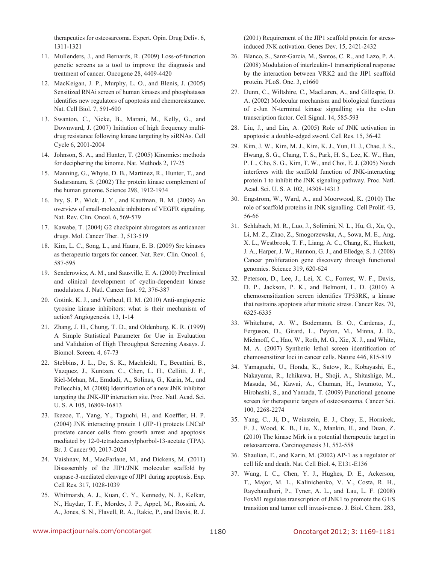therapeutics for osteosarcoma. Expert. Opin. Drug Deliv. 6, 1311-1321

- 11. Mullenders, J., and Bernards, R. (2009) Loss-of-function genetic screens as a tool to improve the diagnosis and treatment of cancer. Oncogene 28, 4409-4420
- 12. MacKeigan, J. P., Murphy, L. O., and Blenis, J. (2005) Sensitized RNAi screen of human kinases and phosphatases identifies new regulators of apoptosis and chemoresistance. Nat. Cell Biol. 7, 591-600
- 13. Swanton, C., Nicke, B., Marani, M., Kelly, G., and Downward, J. (2007) Initiation of high frequency multidrug resistance following kinase targeting by siRNAs. Cell Cycle 6, 2001-2004
- 14. Johnson, S. A., and Hunter, T. (2005) Kinomics: methods for deciphering the kinome. Nat. Methods 2, 17-25
- 15. Manning, G., Whyte, D. B., Martinez, R., Hunter, T., and Sudarsanam, S. (2002) The protein kinase complement of the human genome. Science 298, 1912-1934
- 16. Ivy, S. P., Wick, J. Y., and Kaufman, B. M. (2009) An overview of small-molecule inhibitors of VEGFR signaling. Nat. Rev. Clin. Oncol. 6, 569-579
- 17. Kawabe, T. (2004) G2 checkpoint abrogators as anticancer drugs. Mol. Cancer Ther. 3, 513-519
- 18. Kim, L. C., Song, L., and Haura, E. B. (2009) Src kinases as therapeutic targets for cancer. Nat. Rev. Clin. Oncol. 6, 587-595
- 19. Senderowicz, A. M., and Sausville, E. A. (2000) Preclinical and clinical development of cyclin-dependent kinase modulators. J. Natl. Cancer Inst. 92, 376-387
- 20. Gotink, K. J., and Verheul, H. M. (2010) Anti-angiogenic tyrosine kinase inhibitors: what is their mechanism of action? Angiogenesis. 13, 1-14
- 21. Zhang, J. H., Chung, T. D., and Oldenburg, K. R. (1999) A Simple Statistical Parameter for Use in Evaluation and Validation of High Throughput Screening Assays. J. Biomol. Screen. 4, 67-73
- 22. Stebbins, J. L., De, S. K., Machleidt, T., Becattini, B., Vazquez, J., Kuntzen, C., Chen, L. H., Cellitti, J. F., Riel-Mehan, M., Emdadi, A., Solinas, G., Karin, M., and Pellecchia, M. (2008) Identification of a new JNK inhibitor targeting the JNK-JIP interaction site. Proc. Natl. Acad. Sci. U. S. A 105, 16809-16813
- 23. Ikezoe, T., Yang, Y., Taguchi, H., and Koeffler, H. P. (2004) JNK interacting protein 1 (JIP-1) protects LNCaP prostate cancer cells from growth arrest and apoptosis mediated by 12-0-tetradecanoylphorbol-13-acetate (TPA). Br. J. Cancer 90, 2017-2024
- 24. Vaishnav, M., MacFarlane, M., and Dickens, M. (2011) Disassembly of the JIP1/JNK molecular scaffold by caspase-3-mediated cleavage of JIP1 during apoptosis. Exp. Cell Res. 317, 1028-1039
- 25. Whitmarsh, A. J., Kuan, C. Y., Kennedy, N. J., Kelkar, N., Haydar, T. F., Mordes, J. P., Appel, M., Rossini, A. A., Jones, S. N., Flavell, R. A., Rakic, P., and Davis, R. J.

(2001) Requirement of the JIP1 scaffold protein for stressinduced JNK activation. Genes Dev. 15, 2421-2432

- 26. Blanco, S., Sanz-Garcia, M., Santos, C. R., and Lazo, P. A. (2008) Modulation of interleukin-1 transcriptional response by the interaction between VRK2 and the JIP1 scaffold protein. PLoS. One. 3, e1660
- 27. Dunn, C., Wiltshire, C., MacLaren, A., and Gillespie, D. A. (2002) Molecular mechanism and biological functions of c-Jun N-terminal kinase signalling via the c-Jun transcription factor. Cell Signal. 14, 585-593
- 28. Liu, J., and Lin, A. (2005) Role of JNK activation in apoptosis: a double-edged sword. Cell Res. 15, 36-42
- 29. Kim, J. W., Kim, M. J., Kim, K. J., Yun, H. J., Chae, J. S., Hwang, S. G., Chang, T. S., Park, H. S., Lee, K. W., Han, P. L., Cho, S. G., Kim, T. W., and Choi, E. J. (2005) Notch interferes with the scaffold function of JNK-interacting protein 1 to inhibit the JNK signaling pathway. Proc. Natl. Acad. Sci. U. S. A 102, 14308-14313
- 30. Engstrom, W., Ward, A., and Moorwood, K. (2010) The role of scaffold proteins in JNK signalling. Cell Prolif. 43, 56-66
- 31. Schlabach, M. R., Luo, J., Solimini, N. L., Hu, G., Xu, Q., Li, M. Z., Zhao, Z., Smogorzewska, A., Sowa, M. E., Ang, X. L., Westbrook, T. F., Liang, A. C., Chang, K., Hackett, J. A., Harper, J. W., Hannon, G. J., and Elledge, S. J. (2008) Cancer proliferation gene discovery through functional genomics. Science 319, 620-624
- 32. Peterson, D., Lee, J., Lei, X. C., Forrest, W. F., Davis, D. P., Jackson, P. K., and Belmont, L. D. (2010) A chemosensitization screen identifies TP53RK, a kinase that restrains apoptosis after mitotic stress. Cancer Res. 70, 6325-6335
- 33. Whitehurst, A. W., Bodemann, B. O., Cardenas, J., Ferguson, D., Girard, L., Peyton, M., Minna, J. D., Michnoff, C., Hao, W., Roth, M. G., Xie, X. J., and White, M. A. (2007) Synthetic lethal screen identification of chemosensitizer loci in cancer cells. Nature 446, 815-819
- 34. Yamaguchi, U., Honda, K., Satow, R., Kobayashi, E., Nakayama, R., Ichikawa, H., Shoji, A., Shitashige, M., Masuda, M., Kawai, A., Chuman, H., Iwamoto, Y., Hirohashi, S., and Yamada, T. (2009) Functional genome screen for therapeutic targets of osteosarcoma. Cancer Sci. 100, 2268-2274
- 35. Yang, C., Ji, D., Weinstein, E. J., Choy, E., Hornicek, F. J., Wood, K. B., Liu, X., Mankin, H., and Duan, Z. (2010) The kinase Mirk is a potential therapeutic target in osteosarcoma. Carcinogenesis 31, 552-558
- 36. Shaulian, E., and Karin, M. (2002) AP-1 as a regulator of cell life and death. Nat. Cell Biol. 4, E131-E136
- 37. Wang, I. C., Chen, Y. J., Hughes, D. E., Ackerson, T., Major, M. L., Kalinichenko, V. V., Costa, R. H., Raychaudhuri, P., Tyner, A. L., and Lau, L. F. (2008) FoxM1 regulates transcription of JNK1 to promote the G1/S transition and tumor cell invasiveness. J. Biol. Chem. 283,